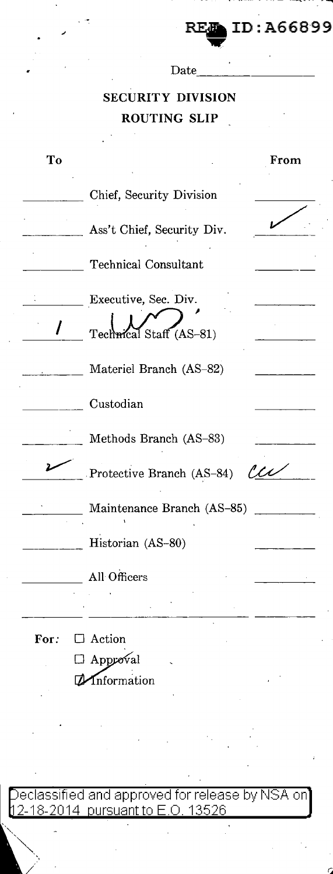**REA ID: A66899**<br>Date

## **SECURITY DIVISION ROUTING SLIP**

| To   |                                                 | From           |
|------|-------------------------------------------------|----------------|
|      | Chief, Security Division                        |                |
|      | Ass't Chief, Security Div.                      |                |
|      | <b>Technical Consultant</b>                     |                |
|      | Executive, Sec. Div.<br>Technical Staff (AS-81) |                |
|      | Materiel Branch (AS-82)                         |                |
|      | Custodian                                       |                |
|      | Methods Branch (AS-83)                          |                |
|      | Protective Branch (AS-84)                       | $\ell\ell\ell$ |
|      | Maintenance Branch (AS-85)                      |                |
|      | Historian (AS-80)                               |                |
|      | All Officers                                    |                |
|      |                                                 |                |
| For: | $\Box$ Action                                   |                |
|      | $\Box$ Approval                                 |                |
|      | Information                                     |                |

eclassified and approved for release by NSA on <u>2-18-2014 pursuant to E.O. 13526.</u>

*/*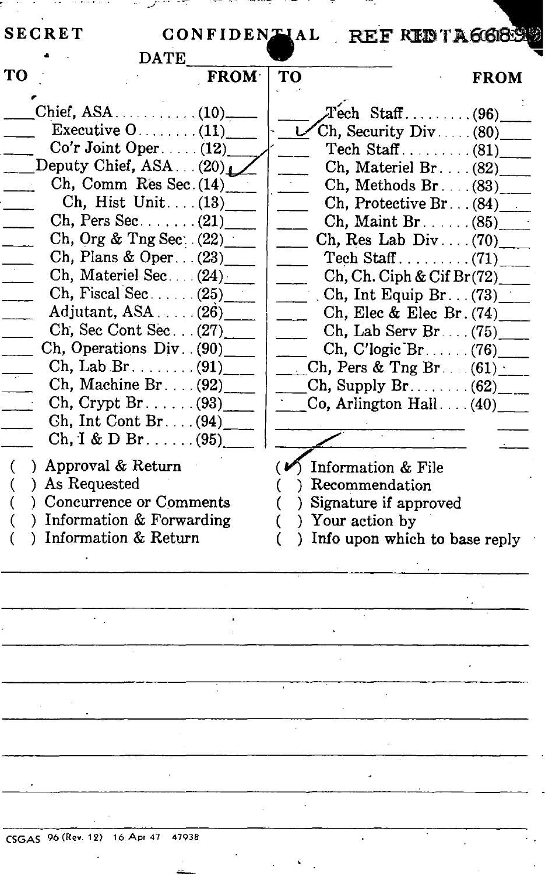|                                    | <b>DATE</b> |                                      |
|------------------------------------|-------------|--------------------------------------|
| TО                                 | <b>FROM</b> | TO<br><b>FROM</b>                    |
|                                    |             | $T$ ech Staff(96)                    |
| Executive $0$ (11)                 |             | $\chi$ Ch, Security Div (80)         |
| $Co'r$ Joint Oper. (12)            |             |                                      |
| Deputy Chief, ASA(20)              |             | Ch, Materiel Br. $(82)$              |
| $Ch, Comm$ Res Sec. $(14)$         |             | Ch, Methods Br. $(83)$               |
| Ch, Hist Unit $(13)$               |             | Ch, Protective Br. $(84)$            |
| Ch, Pers Sec. $\ldots$ (21)        |             | $Ch, Maint Br. \ldots (85)$          |
| Ch, Org & Tng Sec. $(22)$          |             | Ch, Res Lab Div (70)                 |
| Ch, Plans & Oper $(23)$            |             |                                      |
| Ch, Materiel Sec. (24)             |             | Ch, Ch. Ciph & Cif Br(72)            |
|                                    |             | Ch, Int Equip Br. $(73)$             |
| Adjutant, $ASA$ (26)               |             | Ch, Elec & Elec Br. $(74)$ ____      |
| Ch, Sec Cont Sec $(27)$            |             | Ch, Lab Serv Br (75)                 |
| Ch, Operations Div. (90)           |             | $Ch, C'logic Br. \ldots (76)$        |
| Ch, Lab Br. $\dots$ (91)           |             | Ch, Pers & Tng Br. $(61)$            |
| Ch, Machine Br. $(92)$             |             | $\chi$ Ch, Supply Br. $(62)$         |
| $Ch, Crypt Br. \ldots (93)$        |             | $Co$ , Arlington Hall(40)            |
| $\chi$ h, Int Cont Br (94)         |             |                                      |
|                                    |             |                                      |
| $Ch, I & D Br. \ldots (95)$        |             |                                      |
| Approval & Return<br>$\mathcal{L}$ |             | $(\nu)$ Information & File           |
| ) As Requested                     |             | ) Recommendation                     |
| ) Concurrence or Comments          |             | Signature if approved                |
| ) Information & Forwarding         |             | ) Your action by                     |
| ) Information & Return             |             | ) Info upon which to base reply<br>€ |
|                                    |             |                                      |
|                                    |             |                                      |
|                                    |             |                                      |
|                                    |             |                                      |
|                                    |             |                                      |
|                                    |             |                                      |
|                                    |             |                                      |
|                                    |             |                                      |
|                                    |             |                                      |
|                                    |             |                                      |
|                                    |             |                                      |
| CSGAS 96 (Rev. 12) 16 Apr 47 47938 |             |                                      |
|                                    |             |                                      |
|                                    |             |                                      |